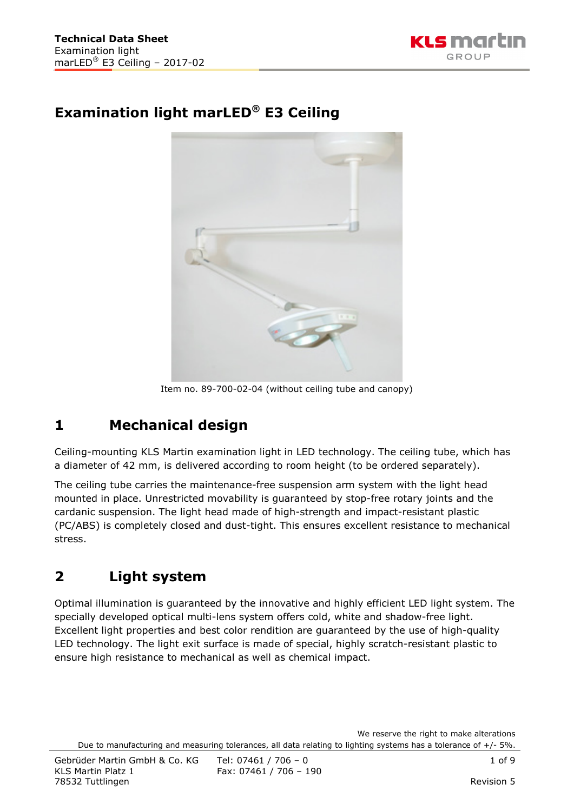

# **Examination light marLED® E3 Ceiling**



Item no. 89-700-02-04 (without ceiling tube and canopy)

# **1 Mechanical design**

Ceiling-mounting KLS Martin examination light in LED technology. The ceiling tube, which has a diameter of 42 mm, is delivered according to room height (to be ordered separately).

The ceiling tube carries the maintenance-free suspension arm system with the light head mounted in place. Unrestricted movability is guaranteed by stop-free rotary joints and the cardanic suspension. The light head made of high-strength and impact-resistant plastic (PC/ABS) is completely closed and dust-tight. This ensures excellent resistance to mechanical stress.

# **2 Light system**

Optimal illumination is guaranteed by the innovative and highly efficient LED light system. The specially developed optical multi-lens system offers cold, white and shadow-free light. Excellent light properties and best color rendition are guaranteed by the use of high-quality LED technology. The light exit surface is made of special, highly scratch-resistant plastic to ensure high resistance to mechanical as well as chemical impact.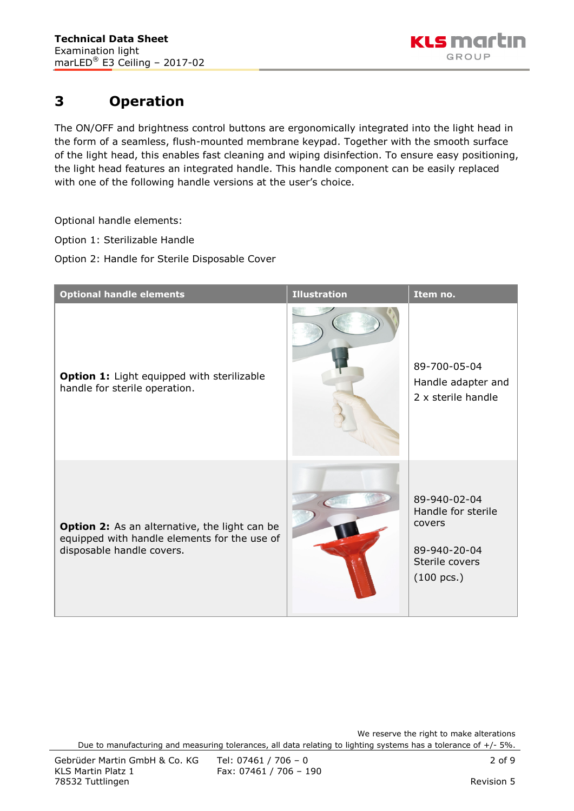

### **3 Operation**

The ON/OFF and brightness control buttons are ergonomically integrated into the light head in the form of a seamless, flush-mounted membrane keypad. Together with the smooth surface of the light head, this enables fast cleaning and wiping disinfection. To ensure easy positioning, the light head features an integrated handle. This handle component can be easily replaced with one of the following handle versions at the user's choice.

Optional handle elements:

Option 1: Sterilizable Handle

Option 2: Handle for Sterile Disposable Cover

| <b>Optional handle elements</b>                                                                                                   | <b>Illustration</b> | Item no.                                                                                               |
|-----------------------------------------------------------------------------------------------------------------------------------|---------------------|--------------------------------------------------------------------------------------------------------|
| Option 1: Light equipped with sterilizable<br>handle for sterile operation.                                                       |                     | 89-700-05-04<br>Handle adapter and<br>2 x sterile handle                                               |
| <b>Option 2:</b> As an alternative, the light can be<br>equipped with handle elements for the use of<br>disposable handle covers. |                     | 89-940-02-04<br>Handle for sterile<br>covers<br>89-940-20-04<br>Sterile covers<br>$(100 \text{ pcs.})$ |

We reserve the right to make alterations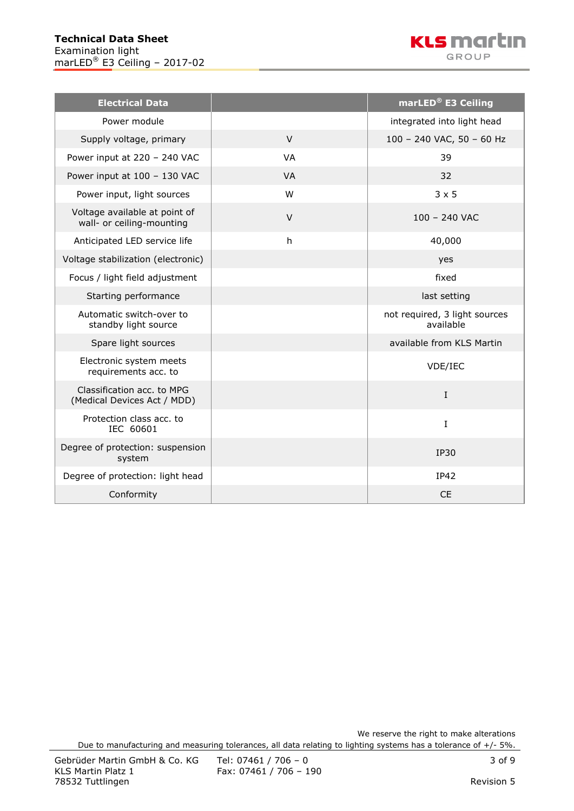

| <b>Electrical Data</b>                                     |           | marLED <sup>®</sup> E3 Ceiling             |
|------------------------------------------------------------|-----------|--------------------------------------------|
| Power module                                               |           | integrated into light head                 |
| Supply voltage, primary                                    | $\vee$    | 100 - 240 VAC, 50 - 60 Hz                  |
| Power input at 220 - 240 VAC                               | <b>VA</b> | 39                                         |
| Power input at 100 - 130 VAC                               | <b>VA</b> | 32                                         |
| Power input, light sources                                 | W         | $3 \times 5$                               |
| Voltage available at point of<br>wall- or ceiling-mounting | $\vee$    | $100 - 240$ VAC                            |
| Anticipated LED service life                               | h         | 40,000                                     |
| Voltage stabilization (electronic)                         |           | yes                                        |
| Focus / light field adjustment                             |           | fixed                                      |
| Starting performance                                       |           | last setting                               |
| Automatic switch-over to<br>standby light source           |           | not required, 3 light sources<br>available |
| Spare light sources                                        |           | available from KLS Martin                  |
| Electronic system meets<br>requirements acc. to            |           | VDE/IEC                                    |
| Classification acc. to MPG<br>(Medical Devices Act / MDD)  |           | $\mathbf I$                                |
| Protection class acc. to<br>IEC 60601                      |           | I                                          |
| Degree of protection: suspension<br>system                 |           | <b>IP30</b>                                |
| Degree of protection: light head                           |           | IP42                                       |
| Conformity                                                 |           | <b>CE</b>                                  |

We reserve the right to make alterations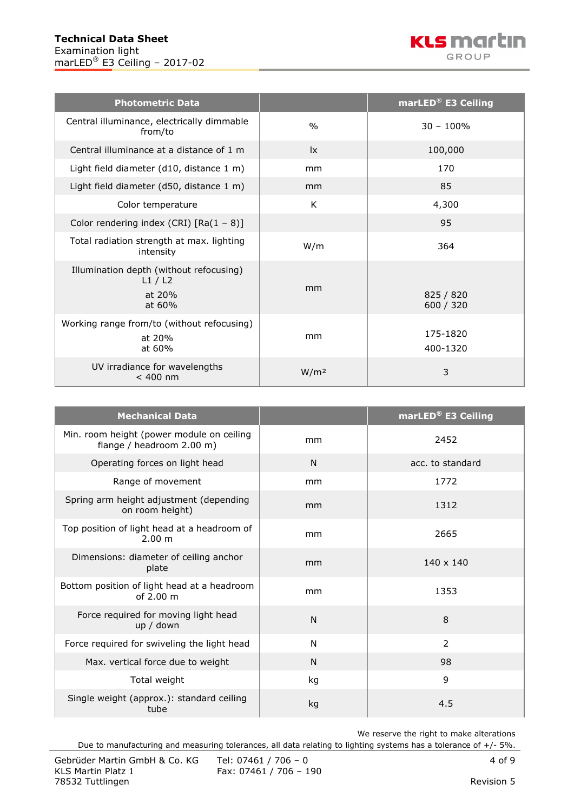

| <b>Photometric Data</b>                                              |                        | marLED <sup>®</sup> E3 Ceiling |
|----------------------------------------------------------------------|------------------------|--------------------------------|
| Central illuminance, electrically dimmable<br>from/to                | $\frac{0}{0}$          | $30 - 100\%$                   |
| Central illuminance at a distance of 1 m                             | $\mathsf{I}\mathsf{x}$ | 100,000                        |
| Light field diameter (d10, distance 1 m)                             | mm                     | 170                            |
| Light field diameter (d50, distance 1 m)                             | mm                     | 85                             |
| Color temperature                                                    | K                      | 4,300                          |
| Color rendering index (CRI) $[Ra(1 - 8)]$                            |                        | 95                             |
| Total radiation strength at max. lighting<br>intensity               | W/m                    | 364                            |
| Illumination depth (without refocusing)<br>L1/L2<br>at 20%<br>at 60% | mm                     | 825 / 820<br>600 / 320         |
| Working range from/to (without refocusing)<br>at 20%<br>at 60%       | mm                     | 175-1820<br>400-1320           |
| UV irradiance for wavelengths<br>$< 400$ nm                          | W/m <sup>2</sup>       | 3                              |

| <b>Mechanical Data</b>                                                 |    | marLED <sup>®</sup> E3 Ceiling |
|------------------------------------------------------------------------|----|--------------------------------|
| Min. room height (power module on ceiling<br>flange / headroom 2.00 m) | mm | 2452                           |
| Operating forces on light head                                         | N  | acc. to standard               |
| Range of movement                                                      | mm | 1772                           |
| Spring arm height adjustment (depending<br>on room height)             | mm | 1312                           |
| Top position of light head at a headroom of<br>2.00 m                  | mm | 2665                           |
| Dimensions: diameter of ceiling anchor<br>plate                        | mm | $140 \times 140$               |
| Bottom position of light head at a headroom<br>of $2.00 \text{ m}$     | mm | 1353                           |
| Force required for moving light head<br>up / down                      | N  | 8                              |
| Force required for swiveling the light head                            | N  | $\overline{2}$                 |
| Max. vertical force due to weight                                      | N  | 98                             |
| Total weight                                                           | kg | 9                              |
| Single weight (approx.): standard ceiling<br>tube                      | kg | 4.5                            |

We reserve the right to make alterations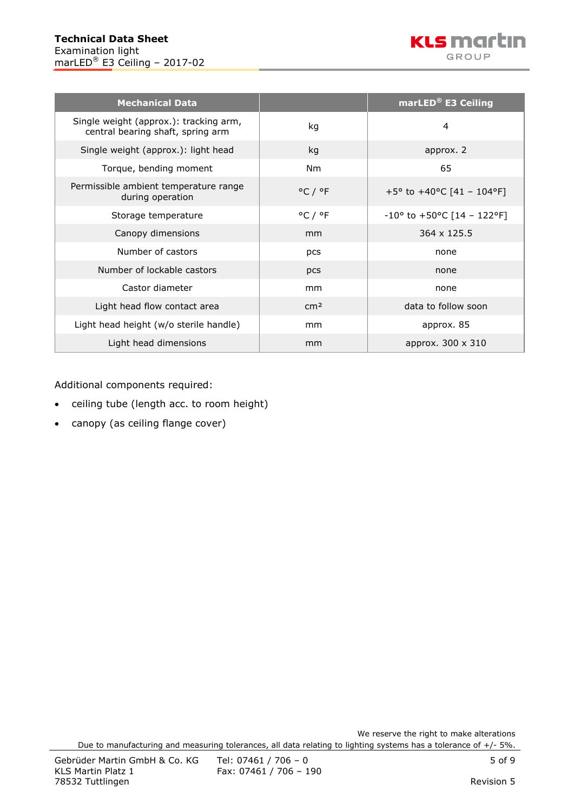

| <b>Mechanical Data</b>                                                      |                             | marLED <sup>®</sup> E3 Ceiling                |
|-----------------------------------------------------------------------------|-----------------------------|-----------------------------------------------|
| Single weight (approx.): tracking arm,<br>central bearing shaft, spring arm | kg                          | 4                                             |
| Single weight (approx.): light head                                         | kg                          | approx. 2                                     |
| Torque, bending moment                                                      | Nm                          | 65                                            |
| Permissible ambient temperature range<br>during operation                   | $^{\circ}$ C / $^{\circ}$ F | +5° to +40°C [41 - 104°F]                     |
| Storage temperature                                                         | $^{\circ}$ C / $^{\circ}$ F | $-10^{\circ}$ to $+50^{\circ}$ C [14 - 122°F] |
| Canopy dimensions                                                           | mm                          | 364 x 125.5                                   |
| Number of castors                                                           | pcs                         | none                                          |
| Number of lockable castors                                                  | pcs                         | none                                          |
| Castor diameter                                                             | mm                          | none                                          |
| Light head flow contact area                                                | cm <sup>2</sup>             | data to follow soon                           |
| Light head height (w/o sterile handle)                                      | mm                          | approx. 85                                    |
| Light head dimensions                                                       | mm                          | approx. 300 x 310                             |

Additional components required:

- ceiling tube (length acc. to room height)
- canopy (as ceiling flange cover)

We reserve the right to make alterations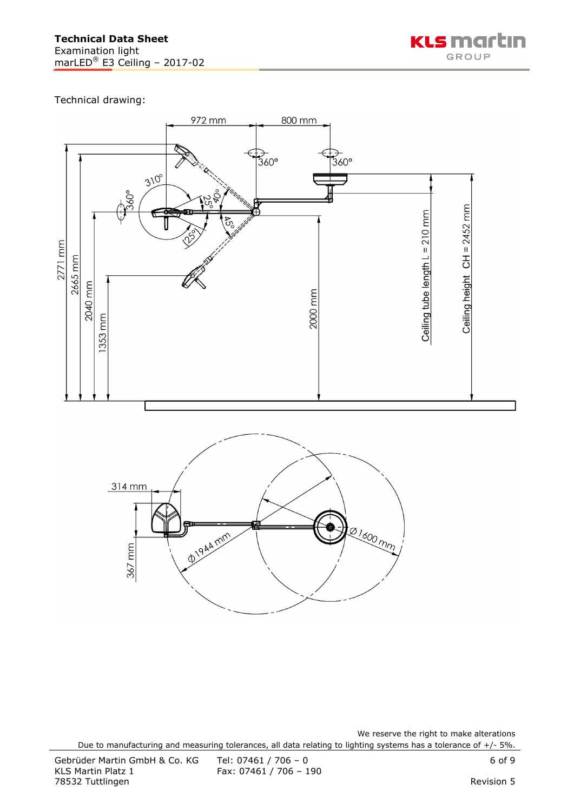

Technical drawing:





We reserve the right to make alterations Due to manufacturing and measuring tolerances, all data relating to lighting systems has a tolerance of +/- 5%.

Fax: 07461 / 706 - 190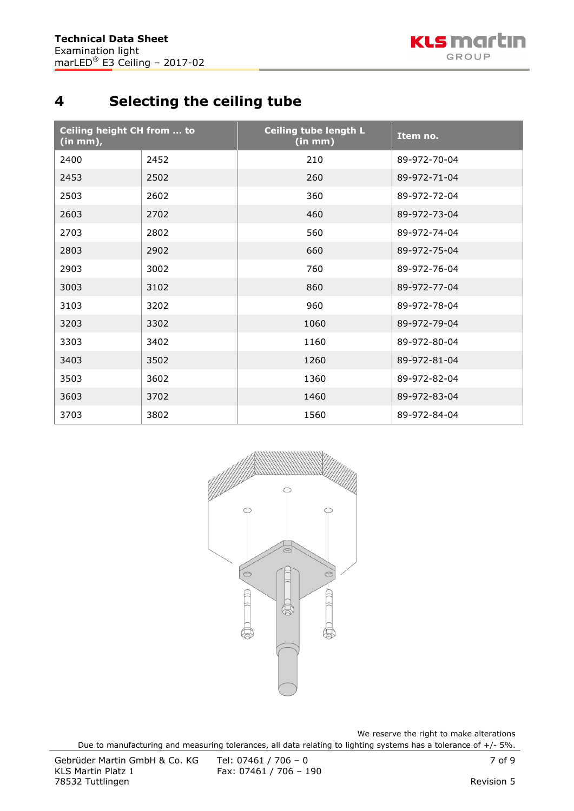# **4 Selecting the ceiling tube**

| Ceiling height CH from  to<br>$(in mm)$ , |      | <b>Ceiling tube length L</b><br>(in mm) | Item no.     |
|-------------------------------------------|------|-----------------------------------------|--------------|
| 2400                                      | 2452 | 210                                     | 89-972-70-04 |
| 2453                                      | 2502 | 260                                     | 89-972-71-04 |
| 2503                                      | 2602 | 360                                     | 89-972-72-04 |
| 2603                                      | 2702 | 460                                     | 89-972-73-04 |
| 2703                                      | 2802 | 560                                     | 89-972-74-04 |
| 2803                                      | 2902 | 660                                     | 89-972-75-04 |
| 2903                                      | 3002 | 760                                     | 89-972-76-04 |
| 3003                                      | 3102 | 860                                     | 89-972-77-04 |
| 3103                                      | 3202 | 960                                     | 89-972-78-04 |
| 3203                                      | 3302 | 1060                                    | 89-972-79-04 |
| 3303                                      | 3402 | 1160                                    | 89-972-80-04 |
| 3403                                      | 3502 | 1260                                    | 89-972-81-04 |
| 3503                                      | 3602 | 1360                                    | 89-972-82-04 |
| 3603                                      | 3702 | 1460                                    | 89-972-83-04 |
| 3703                                      | 3802 | 1560                                    | 89-972-84-04 |



We reserve the right to make alterations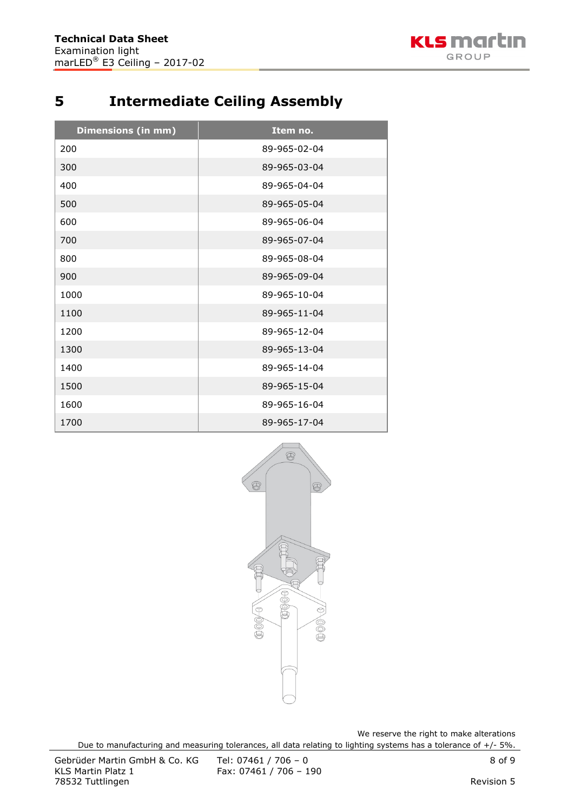

# **Intermediate Ceiling Assembly**

| <b>Dimensions (in mm)</b> | Item no.     |
|---------------------------|--------------|
| 200                       | 89-965-02-04 |
| 300                       | 89-965-03-04 |
| 400                       | 89-965-04-04 |
| 500                       | 89-965-05-04 |
| 600                       | 89-965-06-04 |
| 700                       | 89-965-07-04 |
| 800                       | 89-965-08-04 |
| 900                       | 89-965-09-04 |
| 1000                      | 89-965-10-04 |
| 1100                      | 89-965-11-04 |
| 1200                      | 89-965-12-04 |
| 1300                      | 89-965-13-04 |
| 1400                      | 89-965-14-04 |
| 1500                      | 89-965-15-04 |
| 1600                      | 89-965-16-04 |
| 1700                      | 89-965-17-04 |



We reserve the right to make alterations